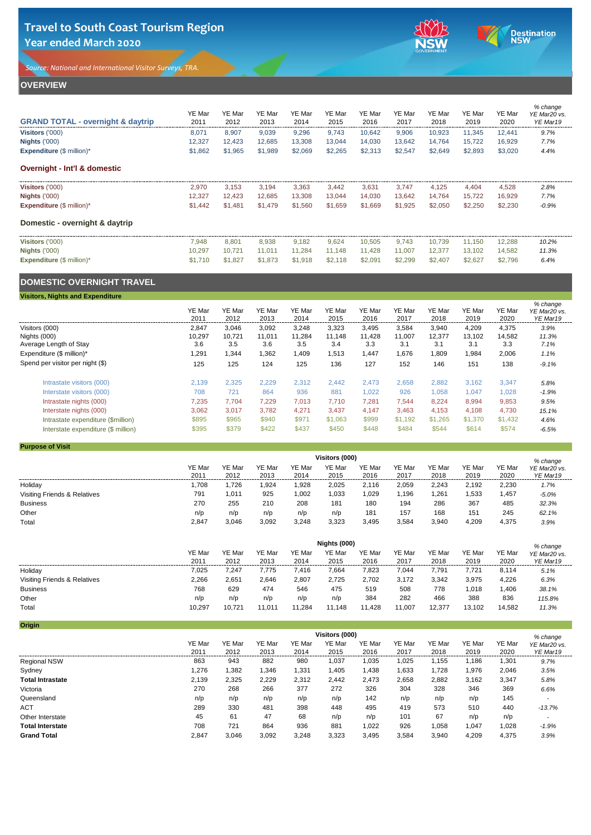*Source: National and International Visitor Surveys, TRA.* 





## **OVERVIEW**

| <b>GRAND TOTAL - overnight &amp; daytrip</b> | YE Mar<br>2011 | YE Mar<br>2012 | YE Mar<br>2013 | YE Mar<br>2014 | YE Mar<br>2015 | YE Mar<br>2016 | YE Mar<br>2017 | YE Mar<br>2018 | YE Mar<br>2019 | YE Mar<br>2020 | % change<br>YE Mar20 vs.<br>YE Mar19 |
|----------------------------------------------|----------------|----------------|----------------|----------------|----------------|----------------|----------------|----------------|----------------|----------------|--------------------------------------|
| Visitors ('000)                              | 8.071          | 8,907          | 9,039          | 9,296          | 9,743          | 10.642         | 9,906          | 10,923         | 11.345         | 12.441         | 9.7%                                 |
| <b>Nights ('000)</b>                         | 12,327         | 12,423         | 12,685         | 13,308         | 13,044         | 14,030         | 13,642         | 14,764         | 15,722         | 16,929         | 7.7%                                 |
| <b>Expenditure (\$ million)*</b>             | \$1,862        | \$1,965        | \$1,989        | \$2,069        | \$2,265        | \$2,313        | \$2,547        | \$2,649        | \$2,893        | \$3,020        | 4.4%                                 |
| Overnight - Int'l & domestic                 |                |                |                |                |                |                |                |                |                |                |                                      |
| Visitors ('000)                              | 2,970          | 3,153          | 3,194          | 3,363          | 3,442          | 3,631          | 3,747          | 4,125          | 4.404          | 4,528          | 2.8%                                 |
| <b>Nights ('000)</b>                         | 12.327         | 12,423         | 12,685         | 13.308         | 13,044         | 14,030         | 13,642         | 14.764         | 15.722         | 16,929         | 7.7%                                 |
| <b>Expenditure (\$ million)*</b>             | \$1,442        | \$1.481        | \$1,479        | \$1,560        | \$1,659        | \$1.669        | \$1,925        | \$2,050        | \$2,250        | \$2,230        | $-0.9%$                              |
| Domestic - overnight & daytrip               |                |                |                |                |                |                |                |                |                |                |                                      |
| Visitors ('000)                              | 7.948          | 8.801          | 8.938          | 9.182          | 9.624          | 10.505         | 9.743          | 10.739         | 11.150         | 12.288         | 10.2%                                |
| Nights $(000)$                               | 10.297         | 10.721         | 11.011         | 11.284         | 11.148         | 11.428         | 11.007         | 12.377         | 13.102         | 14.582         | 11.3%                                |
| <b>Expenditure (\$ million)*</b>             | \$1,710        | \$1,827        | \$1,873        | \$1,918        | \$2,118        | \$2,091        | \$2,299        | \$2,407        | \$2,627        | \$2,796        | 6.4%                                 |

# **DOMESTIC OVERNIGHT TRAVEL**

**Visitors, Nights and Expenditure**

|                                     | YE Mar<br>2011 | YE Mar<br>2012 | YE Mar<br>2013 | <b>YE Mar</b><br>2014 | YE Mar<br>2015 | YE Mar<br>2016 | YE Mar<br>2017 | YE Mar<br>2018 | YE Mar<br>2019 | YE Mar<br>2020 | % change<br>YE Mar20 vs.<br>YE Mar19 |
|-------------------------------------|----------------|----------------|----------------|-----------------------|----------------|----------------|----------------|----------------|----------------|----------------|--------------------------------------|
| Visitors (000)                      | 2.847          | 3.046          | 3,092          | 3,248                 | 3,323          | 3.495          | 3,584          | 3,940          | 4,209          | 4,375          | 3.9%                                 |
| Nights (000)                        | 10,297         | 10,721         | 11,011         | 11,284                | 11,148         | 11,428         | 11,007         | 12,377         | 13.102         | 14,582         | 11.3%                                |
| Average Length of Stay              | 3.6            | 3.5            | 3.6            | 3.5                   | 3.4            | 3.3            | 3.1            | 3.1            | 3.1            | 3.3            | 7.1%                                 |
| Expenditure (\$ million)*           | .291           | 1,344          | 1,362          | 1,409                 | 1,513          | 1,447          | 1,676          | 1,809          | 1,984          | 2,006          | 1.1%                                 |
| Spend per visitor per night (\$)    | 125            | 125            | 124            | 125                   | 136            | 127            | 152            | 146            | 151            | 138            | $-9.1%$                              |
| Intrastate visitors (000)           | 2.139          | 2.325          | 2.229          | 2,312                 | 2.442          | 2.473          | 2,658          | 2,882          | 3,162          | 3,347          | 5.8%                                 |
| Interstate visitors (000)           | 708            | 721            | 864            | 936                   | 881            | 1.022          | 926            | 1.058          | 1.047          | 1.028          | $-1.9%$                              |
| Intrastate nights (000)             | 7.235          | 7.704          | 7,229          | 7,013                 | 7.710          | 7,281          | 7.544          | 8,224          | 8,994          | 9,853          | 9.5%                                 |
| Interstate nights (000)             | 3,062          | 3.017          | 3.782          | 4.271                 | 3.437          | 4.147          | 3.463          | 4.153          | 4.108          | 4.730          | 15.1%                                |
| Intrastate expenditure (\$million)  | \$895          | \$965          | \$940          | \$971                 | \$1.063        | \$999          | \$1.192        | \$1,265        | \$1,370        | \$1.432        | 4.6%                                 |
| Interstate expenditure (\$ million) | \$395          | \$379          | \$422          | \$437                 | \$450          | \$448          | \$484          | \$544          | \$614          | \$574          | $-6.5%$                              |

| <b>Purpose of Visit</b>      |                |                       |                |                       |                |                |                       |                |                |                       |                          |
|------------------------------|----------------|-----------------------|----------------|-----------------------|----------------|----------------|-----------------------|----------------|----------------|-----------------------|--------------------------|
|                              |                |                       |                |                       | Visitors (000) |                |                       |                |                |                       | % change                 |
|                              | YE Mar<br>2011 | <b>YE Mar</b><br>2012 | YE Mar<br>2013 | <b>YE Mar</b><br>2014 | YE Mar<br>2015 | YE Mar<br>2016 | <b>YE Mar</b><br>2017 | YE Mar<br>2018 | YE Mar<br>2019 | <b>YE Mar</b><br>2020 | YE Mar20 vs.<br>YE Mar19 |
| Holiday                      | 1,708          | 1,726                 | 1,924          | 1,928                 | 2,025          | 2,116          | 2,059                 | 2,243          | 2,192          | 2,230                 | 1.7%                     |
| Visiting Friends & Relatives | 791            | 1,011                 | 925            | 1,002                 | 1,033          | 1,029          | 1,196                 | 1,261          | 1,533          | 1,457                 | $-5.0%$                  |
| <b>Business</b>              | 270            | 255                   | 210            | 208                   | 181            | 180            | 194                   | 286            | 367            | 485                   | 32.3%                    |
| Other                        | n/p            | n/p                   | n/p            | n/p                   | n/p            | 181            | 157                   | 168            | 151            | 245                   | 62.1%                    |
| Total                        | 2,847          | 3,046                 | 3,092          | 3,248                 | 3,323          | 3,495          | 3,584                 | 3,940          | 4,209          | 4,375                 | 3.9%                     |
|                              |                |                       |                |                       | Nights (000)   |                |                       |                |                |                       | % change                 |
|                              | YE Mar<br>2011 | <b>YE Mar</b><br>2012 | YE Mar<br>2013 | <b>YE Mar</b><br>2014 | YE Mar<br>2015 | YE Mar<br>2016 | YE Mar<br>2017        | YE Mar<br>2018 | YE Mar<br>2019 | <b>YE Mar</b><br>2020 | YE Mar20 vs.<br>YE Mar19 |
| Holiday                      | 7,025          | 7,247                 | 7,775          | 7,416                 | 7,664          | 7,823          | 7,044                 | 7,791          | 7,721          | 8,114                 | 5.1%                     |
| Visiting Friends & Relatives | 2,266          | 2,651                 | 2,646          | 2,807                 | 2,725          | 2,702          | 3,172                 | 3,342          | 3,975          | 4,226                 | 6.3%                     |
| <b>Business</b>              | 768            | 629                   | 474            | 546                   | 475            | 519            | 508                   | 778            | 1,018          | 1,406                 | 38.1%                    |
| Other                        | n/p            | n/p                   | n/p            | n/p                   | n/p            | 384            | 282                   | 466            | 388            | 836                   | 115.8%                   |
| Total                        | 10,297         | 10,721                | 11,011         | 11,284                | 11,148         | 11,428         | 11,007                | 12,377         | 13,102         | 14,582                | 11.3%                    |

**Origin** YE Mar 2011 YE Mar 2012 YE Mar 2013 YE Mar 2014 YE Mar 2015 YE Mar 2016 YE Mar 2017 YE Mar 2018 YE Mar 2019 YE Mar 2020 Regional NSW 863 943 882 980 1,037 1,035 1,025 1,155 1,186 1,301 *9.7%* Sydney 1,276 1,382 1,346 1,331 1,405 1,438 1,633 1,728 1,976 2,046 *3.5%* **Total Intrastate** 2,139 2,325 2,229 2,312 2,442 2,473 2,658 2,882 3,162 3,347 *5.8%* Victoria 270 268 266 377 272 326 304 328 346 369 *6.6%* Queensland n/p n/p n/p n/p n/p 142 n/p n/p n/p 145 *-* ACT 289 330 481 398 448 495 419 573 510 440 *-13.7%* Other Interstate 45 61 47 68 n/p n/p 101 67 n/p n/p *-* **Total Interstate** 708 721 864 936 881 1,022 926 1,058 1,047 1,028 *-1.9%* **Grand Total** 2,847 3,046 3,092 3,248 3,323 3,495 3,584 3,940 4,209 4,375 *3.9%* **Visitors (000)** *% change YE Mar20 vs. YE Mar19*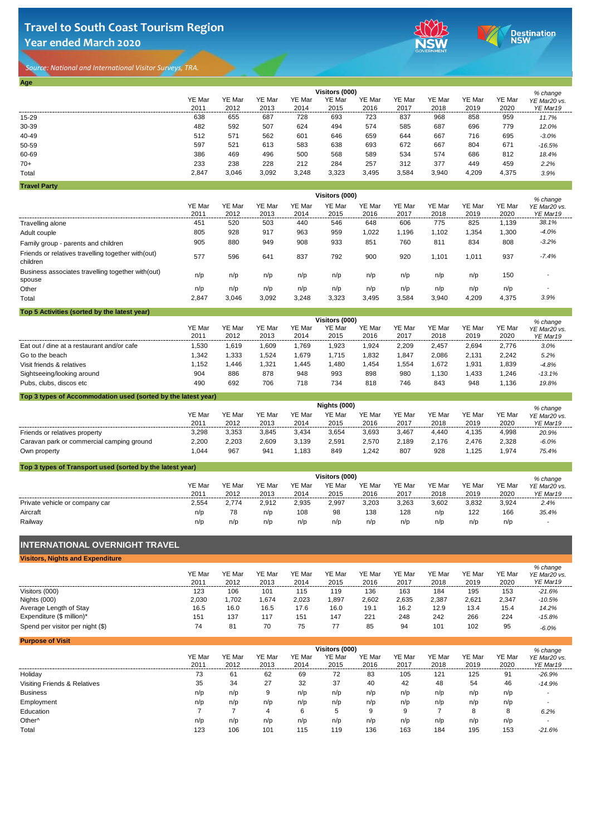

Destination<br>NSW

*Source: National and International Visitor Surveys, TRA.* 

| Age   |        |        |        |        |                |        |        |        |        |        |              |
|-------|--------|--------|--------|--------|----------------|--------|--------|--------|--------|--------|--------------|
|       |        |        |        |        | Visitors (000) |        |        |        |        |        | % change     |
|       | YE Mar | YE Mar | YE Mar | YE Mar | YE Mar         | YE Mar | YE Mar | YE Mar | YE Mar | YE Mar | YE Mar20 vs. |
|       | 2011   | 2012   | 2013   | 2014   | 2015           | 2016   | 2017   | 2018   | 2019   | 2020   | YE Mar19     |
| 15-29 | 638    | 655    | 687    | 728    | 693            | 723    | 837    | 968    | 858    | 959    | 11.7%        |
| 30-39 | 482    | 592    | 507    | 624    | 494            | 574    | 585    | 687    | 696    | 779    | 12.0%        |
| 40-49 | 512    | 571    | 562    | 601    | 646            | 659    | 644    | 667    | 716    | 695    | $-3.0%$      |
| 50-59 | 597    | 521    | 613    | 583    | 638            | 693    | 672    | 667    | 804    | 671    | $-16.5%$     |
| 60-69 | 386    | 469    | 496    | 500    | 568            | 589    | 534    | 574    | 686    | 812    | 18.4%        |
| $70+$ | 233    | 238    | 228    | 212    | 284            | 257    | 312    | 377    | 449    | 459    | 2.2%         |
| Total | 2,847  | 3,046  | 3,092  | 3,248  | 3,323          | 3,495  | 3,584  | 3,940  | 4,209  | 4,375  | 3.9%         |
|       |        |        |        |        |                |        |        |        |        |        |              |

| <b>Travel Party</b>                                             |                |                |                |                |                |                |                |                |                |                |                          |
|-----------------------------------------------------------------|----------------|----------------|----------------|----------------|----------------|----------------|----------------|----------------|----------------|----------------|--------------------------|
|                                                                 |                |                |                |                | Visitors (000) |                |                |                |                |                | % change                 |
|                                                                 | YE Mar<br>2011 | YE Mar<br>2012 | YE Mar<br>2013 | YE Mar<br>2014 | YE Mar<br>2015 | YE Mar<br>2016 | YE Mar<br>2017 | YE Mar<br>2018 | YE Mar<br>2019 | YE Mar<br>2020 | YE Mar20 vs.<br>YE Mar19 |
| Travelling alone                                                | 451            | 520            | 503            | 440            | 546            | 648            | 606            | 775            | 825            | 1,139          | 38.1%                    |
| Adult couple                                                    | 805            | 928            | 917            | 963            | 959            | 1,022          | 1,196          | 1.102          | .354           | 1,300          | $-4.0%$                  |
| Family group - parents and children                             | 905            | 880            | 949            | 908            | 933            | 851            | 760            | 811            | 834            | 808            | $-3.2%$                  |
| Friends or relatives travelling together with (out)<br>children | 577            | 596            | 641            | 837            | 792            | 900            | 920            | 1,101          | 1.011          | 937            | $-7.4%$                  |
| Business associates travelling together with(out)<br>spouse     | n/p            | n/p            | n/p            | n/p            | n/p            | n/p            | n/p            | n/p            | n/p            | 150            |                          |
| Other                                                           | n/p            | n/p            | n/p            | n/p            | n/p            | n/p            | n/p            | n/p            | n/p            | n/p            |                          |
| Total                                                           | 2,847          | 3,046          | 3,092          | 3,248          | 3,323          | 3,495          | 3,584          | 3,940          | 4,209          | 4,375          | 3.9%                     |
|                                                                 |                |                |                |                |                |                |                |                |                |                |                          |

**Top 5 Activities (sorted by the latest year)**

|                                            | Visitors (000) |                |                |                |                |                |                |                |                       |                | % change                 |
|--------------------------------------------|----------------|----------------|----------------|----------------|----------------|----------------|----------------|----------------|-----------------------|----------------|--------------------------|
|                                            | YE Mar<br>2011 | YE Mar<br>2012 | YE Mar<br>2013 | YE Mar<br>2014 | YE Mar<br>2015 | YE Mar<br>2016 | YE Mar<br>2017 | YE Mar<br>2018 | <b>YE Mar</b><br>2019 | YE Mar<br>2020 | YE Mar20 vs.<br>YE Mar19 |
| Eat out / dine at a restaurant and/or cafe | ,530           | 1.619          | 1.609          | .769           | 1.923          | .924           | 2.209          | 2.457          | 2,694                 | 2,776          | 3.0%                     |
| Go to the beach                            | ,342           | .333           | .524           | ,679           | i.715          | .832           | ,847           | 2.086          | 2.131                 | 2,242          | 5.2%                     |
| Visit friends & relatives                  | 1.152          | .446           | 1,321          | .445           | .480           | .454           | .554           | 1.672          | .931                  | 839.           | $-4.8%$                  |
| Sightseeing/looking around                 | 904            | 886            | 878            | 948            | 993            | 898            | 980            | 1.130          | ,433                  | ,246           | $-13.1%$                 |
| Pubs, clubs, discos etc                    | 490            | 692            | 706            | 718            | 734            | 818            | 746            | 843            | 948                   | 1.136          | 19.8%                    |

**Top 3 types of Accommodation used (sorted by the latest year)**

|                                           | Niahts (000)   |                |                |                       |                |                |                       |                |                |                | % change                 |
|-------------------------------------------|----------------|----------------|----------------|-----------------------|----------------|----------------|-----------------------|----------------|----------------|----------------|--------------------------|
|                                           | YE Mar<br>2011 | YE Mar<br>2012 | YE Mar<br>2013 | <b>YE Mar</b><br>2014 | YE Mar<br>2015 | YE Mar<br>2016 | <b>YE Mar</b><br>2017 | YE Mar<br>2018 | YE Mar<br>2019 | YE Mar<br>2020 | YE Mar20 vs.<br>YE Mar19 |
| Friends or relatives property             | 3,298          | 3,353          | 3.845          | 3.434                 | 3.654          | 3,693          | 3,467                 | 4.440          | 4,135          | 4,998          | 20.9%                    |
| Caravan park or commercial camping ground | 2,200          | 2.203          | 2,609          | 3.139                 | 2.591          | 2.570          | 2.189                 | 2.176          | 2.476          | 2.328          | $-6.0%$                  |
| Own property                              | .044           | 967            | 941            | .183                  | 849            | .242           | 807                   | 928            | .125           | .974           | 75.4%                    |

**Top 3 types of Transport used (sorted by the latest year)**

|                                | Visitors (000) |                |                |                |                |                |                |                |                |                | % change                 |
|--------------------------------|----------------|----------------|----------------|----------------|----------------|----------------|----------------|----------------|----------------|----------------|--------------------------|
|                                | YE Mar<br>2011 | YE Mar<br>2012 | YE Mar<br>2013 | YE Mar<br>2014 | YE Mar<br>2015 | YE Mar<br>2016 | YE Mar<br>2017 | YE Mar<br>2018 | YE Mar<br>2019 | YE Mar<br>2020 | YE Mar20 vs.<br>YE Mar19 |
| Private vehicle or company car | 2.554          | 2.774          | 2.912          | 2.935          | 2.997          | 3.203          | 3.263          | 3.602          | 3.832          | 3.924          | 2.4%                     |
| Aircraft                       | n/p            | 78             | n/p            | 108            | 98             | 138            | 128            | n/p            | 122            | 166            | 35.4%                    |
| Railway                        | n/p            | n/p            | n/p            | n/p            | n/p            | n/p            | n/p            | n/p            | n/p            | n/p            |                          |

## **INTERNATIONAL OVERNIGHT TRAVEL**

**Visitors, Nights and Expenditure**

|                                  | YE Mar<br>2011 | YE Mar<br>2012 | YE Mar<br>2013 | YE Mar<br>2014 | YE Mar<br>2015 | YE Mar<br>2016 | YE Mar<br>2017 | YE Mar<br>2018 | YE Mar<br>2019 | YE Mar<br>2020 | % change<br>YE Mar20 vs.<br>YE Mar19 |
|----------------------------------|----------------|----------------|----------------|----------------|----------------|----------------|----------------|----------------|----------------|----------------|--------------------------------------|
| Visitors (000)                   | 123            | 106            | 101            | 115            | 119            | 136            | 163            | 184            | 195            | 153            | $-21.6%$                             |
| Nights (000)                     | 2,030          | .702           | .674           | 2,023          | .897           | 2,602          | 2,635          | 2.387          | 2,621          | 2,347          | $-10.5%$                             |
| Average Length of Stay           | 16.5           | 16.0           | 16.5           | 17.6           | 16.0           | 19.1           | 16.2           | 12.9           | 13.4           | 15.4           | 14.2%                                |
| Expenditure (\$ million)*        | 151            | 137            | 117            | 151            | 147            | $22^{\circ}$   | 248            | 242            | 266            | 224            | $-15.8%$                             |
| Spend per visitor per night (\$) | 74             | 81             | 70             | 75             |                | 85             | 94             | 101            | 102            | 95             | $-6.0%$                              |

| <b>Purpose of Visit</b>      |                |                |                |                |                |                |                |                |                |                |                          |
|------------------------------|----------------|----------------|----------------|----------------|----------------|----------------|----------------|----------------|----------------|----------------|--------------------------|
|                              |                |                |                |                | Visitors (000) |                |                |                |                |                | % change                 |
|                              | YE Mar<br>2011 | YE Mar<br>2012 | YE Mar<br>2013 | YE Mar<br>2014 | YE Mar<br>2015 | YE Mar<br>2016 | YE Mar<br>2017 | YE Mar<br>2018 | YE Mar<br>2019 | YE Mar<br>2020 | YE Mar20 vs.<br>YE Mar19 |
|                              |                |                |                |                |                |                |                |                |                |                |                          |
| Holiday                      | 73             | 61             | 62             | 69             | 72             | 83             | 105            | 121            | 125            | 91             | $-26.9%$                 |
| Visiting Friends & Relatives | 35             | 34             | 27             | 32             | 37             | 40             | 42             | 48             | 54             | 46             | $-14.9%$                 |
| <b>Business</b>              | n/p            | n/p            | 9              | n/p            | n/p            | n/p            | n/p            | n/p            | n/p            | n/p            |                          |
| Employment                   | n/p            | n/p            | n/p            | n/p            | n/p            | n/p            | n/p            | n/p            | n/p            | n/p            |                          |
| Education                    |                |                | 4              | 6              | 5              | 9              | 9              |                | 8              | 8              | 6.2%                     |
| Other <sup>^</sup>           | n/p            | n/p            | n/p            | n/p            | n/p            | n/p            | n/p            | n/p            | n/p            | n/p            |                          |
| Total                        | 123            | 106            | 101            | 115            | 119            | 136            | 163            | 184            | 195            | 153            | $-21.6%$                 |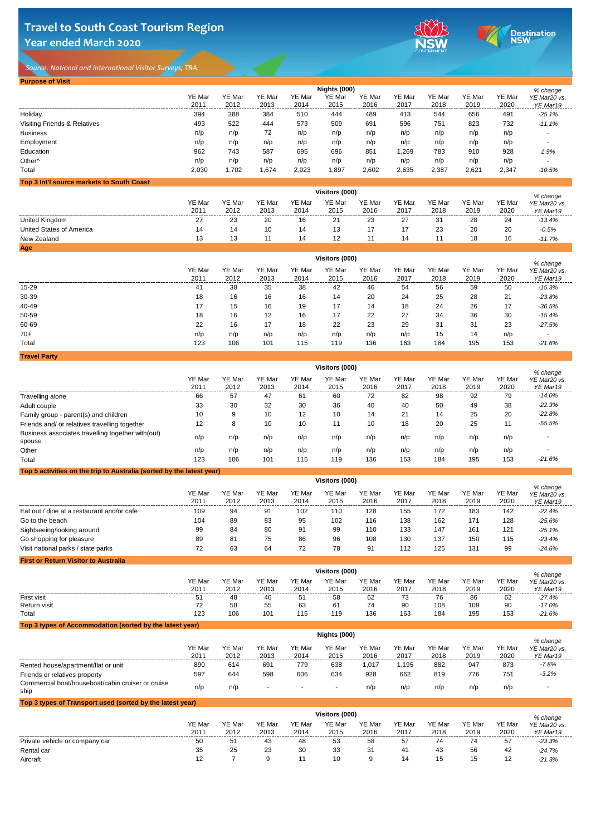

Destination<br>NSW

*Source: National and International Visitor Surveys, TRA.* 

| <b>Purpose of Visit</b>      |        |        |        |        |              |        |        |        |        |        |                          |
|------------------------------|--------|--------|--------|--------|--------------|--------|--------|--------|--------|--------|--------------------------|
|                              |        |        |        |        | Nights (000) |        |        |        |        |        | % change                 |
|                              | YE Mar | YE Mar | YE Mar | YE Mar | YE Mar       | YE Mar | YE Mar | YE Mar | YE Mar | YE Mar | YE Mar20 vs.             |
|                              | 2011   | 2012   | 2013   | 2014   | 2015         | 2016   | 2017   | 2018   | 2019   | 2020   | YE Mar19                 |
| Holiday                      | 394    | 288    | 384    | 510    | 444          | 489    | 413    | 544    | 656    | 491    | $-25.1%$                 |
| Visiting Friends & Relatives | 493    | 522    | 444    | 573    | 509          | 691    | 596    | 751    | 823    | 732    | $-11.1%$                 |
| <b>Business</b>              | n/p    | n/p    | 72     | n/p    | n/p          | n/p    | n/p    | n/p    | n/p    | n/p    |                          |
| Employment                   | n/p    | n/p    | n/p    | n/p    | n/p          | n/p    | n/p    | n/p    | n/p    | n/p    |                          |
| Education                    | 962    | 743    | 587    | 695    | 696          | 851    | 269. ا | 783    | 910    | 928    | 1.9%                     |
| Other <sup>^</sup>           | n/p    | n/p    | n/p    | n/p    | n/p          | n/p    | n/p    | n/p    | n/p    | n/p    | $\overline{\phantom{a}}$ |
| Total                        | 2,030  | 1,702  | .674   | 2,023  | 1,897        | 2,602  | 2,635  | 2,387  | 2,621  | 2,347  | $-10.5%$                 |
|                              |        |        |        |        |              |        |        |        |        |        |                          |

| Top 3 Int'l source markets to South Coast |                |                       |                       |                       |                |                |                |                |                |                |                          |
|-------------------------------------------|----------------|-----------------------|-----------------------|-----------------------|----------------|----------------|----------------|----------------|----------------|----------------|--------------------------|
|                                           |                |                       |                       |                       | Visitors (000) |                |                |                |                |                | % change                 |
|                                           | YE Mar<br>2011 | <b>YE Mar</b><br>2012 | <b>YE Mar</b><br>2013 | <b>YE Mar</b><br>2014 | YE Mar<br>2015 | YE Mar<br>2016 | YE Mar<br>2017 | YE Mar<br>2018 | YE Mar<br>2019 | YE Mar<br>2020 | YE Mar20 vs.<br>YE Mar19 |
| United Kingdom                            | 27             | 23                    | 20                    | 16                    | 21             | 23             | 27             | 31             | 28             | 24             | $-13.4%$                 |
| United States of America                  | 14             | 14                    | 10                    | 14                    | 13             | 17             | 17             | 23             | 20             | 20             | $-0.5%$                  |
| New Zealand                               | 13             | 13                    | 11                    | 14                    | 12             | 11             | 14             |                | 18             | 16             | $-11.7%$                 |

|                     | Visitors (000)<br>% change |                |                |                |                |                |                |                |                |                |                          |  |  |
|---------------------|----------------------------|----------------|----------------|----------------|----------------|----------------|----------------|----------------|----------------|----------------|--------------------------|--|--|
|                     | YE Mar<br>2011             | YE Mar<br>2012 | YE Mar<br>2013 | YE Mar<br>2014 | YE Mar<br>2015 | YE Mar<br>2016 | YE Mar<br>2017 | YE Mar<br>2018 | YE Mar<br>2019 | YE Mar<br>2020 | YE Mar20 vs.<br>YE Mar19 |  |  |
| 15-29               | 41                         | 38             | 35             | 38             | 42             | 46             | 54             | 56             | 59             | 50             | $-15.3%$                 |  |  |
| 30-39               | 18                         | 16             | 16             | 16             | 14             | 20             | 24             | 25             | 28             | 21             | $-23.8%$                 |  |  |
| 40-49               | 17                         | 15             | 16             | 19             | 17             | 14             | 18             | 24             | 26             | 17             | $-36.5%$                 |  |  |
| 50-59               | 18                         | 16             | 12             | 16             | 17             | 22             | 27             | 34             | 36             | 30             | $-15.4%$                 |  |  |
| 60-69               | 22                         | 16             | 17             | 18             | 22             | 23             | 29             | 31             | 31             | 23             | $-27.5%$                 |  |  |
| $70+$               | n/p                        | n/p            | n/p            | n/p            | n/p            | n/p            | n/p            | 15             | 14             | n/p            |                          |  |  |
| Total               | 123                        | 106            | 101            | 115            | 119            | 136            | 163            | 184            | 195            | 153            | $-21.6%$                 |  |  |
| <b>Travel Party</b> |                            |                |                |                |                |                |                |                |                |                |                          |  |  |

|                                                                       | Visitors (000) |                |                |                |                |                |                |                |                |                |                                      |  |
|-----------------------------------------------------------------------|----------------|----------------|----------------|----------------|----------------|----------------|----------------|----------------|----------------|----------------|--------------------------------------|--|
|                                                                       | YE Mar<br>2011 | YE Mar<br>2012 | YE Mar<br>2013 | YE Mar<br>2014 | YE Mar<br>2015 | YE Mar<br>2016 | YE Mar<br>2017 | YE Mar<br>2018 | YE Mar<br>2019 | YE Mar<br>2020 | % change<br>YE Mar20 vs.<br>YE Mar19 |  |
| Travelling alone                                                      | 66             | 57             | 47             | 61             | 60             | 72             | 82             | 98             | 92             | 79             | $-14.0%$                             |  |
| Adult couple                                                          | 33             | 30             | 32             | 30             | 36             | 40             | 40             | 50             | 49             | 38             | $-22.3%$                             |  |
| Family group - parent(s) and children                                 | 10             | 9              | 10             | 12             | 10             | 14             | 21             | 14             | 25             | 20             | $-22.8%$                             |  |
| Friends and/ or relatives travelling together                         | 12             | 8              | 10             | 10             | 11             | 10             | 18             | 20             | 25             | 11             | $-55.5%$                             |  |
| Business associates travelling together with(out)<br>spouse           | n/p            | n/p            | n/p            | n/p            | n/p            | n/p            | n/p            | n/p            | n/p            | n/p            |                                      |  |
| Other                                                                 | n/p            | n/p            | n/p            | n/p            | n/p            | n/p            | n/p            | n/p            | n/p            | n/p            |                                      |  |
| Total                                                                 | 123            | 106            | 101            | 115            | 119            | 136            | 163            | 184            | 195            | 153            | $-21.6%$                             |  |
| Top 5 activities on the trip to Australia (sorted by the latest year) |                |                |                |                |                |                |                |                |                |                |                                      |  |

|                                            | Visitors (000) |                |                |                       |                |                |                |                       |                |                |                                      |
|--------------------------------------------|----------------|----------------|----------------|-----------------------|----------------|----------------|----------------|-----------------------|----------------|----------------|--------------------------------------|
|                                            | YE Mar<br>2011 | YE Mar<br>2012 | YE Mar<br>2013 | <b>YE Mar</b><br>2014 | YE Mar<br>2015 | YE Mar<br>2016 | YE Mar<br>2017 | <b>YE Mar</b><br>2018 | YE Mar<br>2019 | YE Mar<br>2020 | % change<br>YE Mar20 vs.<br>YE Mar19 |
| Eat out / dine at a restaurant and/or cafe | 109            | 94             | 91             | 102                   | 110            | 128            | 155            | 172                   | 183            | 142            | $-22.4%$                             |
| Go to the beach                            | 104            | 89             | 83             | 95                    | 102            | 116            | 138            | 162                   | 171            | 128            | $-25.6%$                             |
| Sightseeing/looking around                 | 99             | 84             | 80             | 91                    | 99             | 110            | 133            | 147                   | 161            | 121            | $-25.1%$                             |
| Go shopping for pleasure                   | 89             | 81             | 75             | 86                    | 96             | 108            | 130            | 137                   | 150            | 115            | $-23.4%$                             |
| Visit national parks / state parks         | 72             | 63             | 64             | 72                    | 78             | 91             | 112            | 125                   | 131            | 99             | $-24.6%$                             |

## **First or Return Visitor to Australia**

**Age**

|                                                          | Visitors (000) |               |        |        |        |        |        |        |        |        |                          |
|----------------------------------------------------------|----------------|---------------|--------|--------|--------|--------|--------|--------|--------|--------|--------------------------|
|                                                          | <b>YE Mar</b>  | <b>YE Mar</b> | YE Mar | YE Mar | YE Mar | YE Mar | YE Mar | YE Mar | YE Mar | YE Mar | % change<br>YE Mar20 vs. |
|                                                          | 2011           | 2012          | 2013   | 2014   | 2015   | 2016   | 2017   | 2018   | 2019   | 2020   | YE Mar19                 |
| First visit                                              | 51             | 48            | 46     | 51     | 58     | 62     | 73     | 76     | 86     | 62     | $-27.4%$                 |
| Return visit                                             | 72             | 58            | 55     | 63     | 61     | 74     | 90     | 108    | 109    | 90     | $-17.0%$                 |
| Total                                                    | 123            | 106           | 101    | 115    | 119    | 136    | 163    | 184    | 195    | 153    | $-21.6%$                 |
| Top 3 types of Accommodation (sorted by the latest year) |                |               |        |        |        |        |        |        |        |        |                          |

| . .                                                       | Nights (000)   |                       |                          |                |                          |                |                |                |                |                |                                      |  |
|-----------------------------------------------------------|----------------|-----------------------|--------------------------|----------------|--------------------------|----------------|----------------|----------------|----------------|----------------|--------------------------------------|--|
|                                                           | YE Mar<br>2011 | <b>YE Mar</b><br>2012 | <b>YE Mar</b><br>2013    | YE Mar<br>2014 | YE Mar<br>2015           | YE Mar<br>2016 | YE Mar<br>2017 | YE Mar<br>2018 | YE Mar<br>2019 | YE Mar<br>2020 | % change<br>YE Mar20 vs.<br>YE Mar19 |  |
| Rented house/apartment/flat or unit                       | 890            | 614                   | 691                      | 779            | 638                      | 1.017          | 1,195          | 882            | 947            | 873            | $-7.8%$                              |  |
| Friends or relatives property                             | 597            | 644                   | 598                      | 606            | 634                      | 928            | 662            | 819            | 776            | 751            | $-3.2%$                              |  |
| Commercial boat/houseboat/cabin cruiser or cruise<br>ship | n/p            | n/p                   | $\overline{\phantom{a}}$ | $\sim$         | $\overline{\phantom{a}}$ | n/p            | n/p            | n/p            | n/p            | n/p            |                                      |  |

## **Top 3 types of Transport used (sorted by the latest year)**

|                                |                |                | % change       |                |                |                |                |                |                |                      |                          |
|--------------------------------|----------------|----------------|----------------|----------------|----------------|----------------|----------------|----------------|----------------|----------------------|--------------------------|
|                                | YE Mar<br>2011 | YE Mar<br>2012 | YE Mar<br>2013 | YE Mar<br>2014 | YE Mar<br>2015 | YE Mar<br>2016 | YE Mar<br>2017 | YE Mar<br>2018 | YE Mar<br>2019 | YE Mar<br>2020       | YE Mar20 vs.<br>YE Mar19 |
| Private vehicle or company car | 50             | 51             | 43             | 48             | 53             | 58             | 57             | 74             | 74             | 57                   | $-23.3%$                 |
| Rental car                     | 35             | 25             | 23             | 30             | 33             | 31             | 41             | 43             | 56             | 42                   | $-24.7%$                 |
| Aircraft                       | 12             |                | a              |                | 10             | 9              | 14             | 15             | 15             | $\overline{ }$<br>12 | $-21.3%$                 |